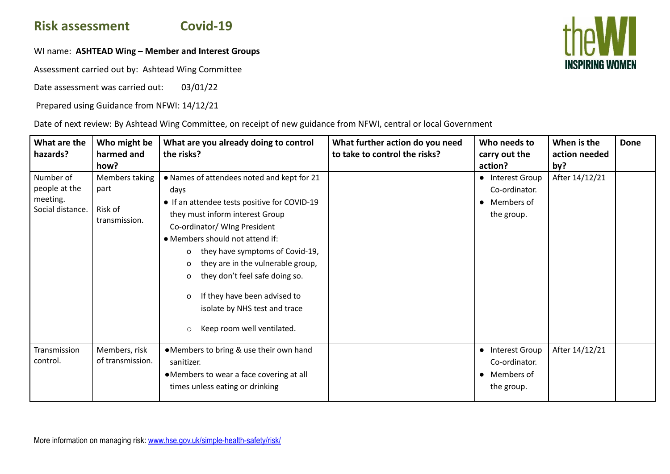## **Risk assessment Covid-19**

## WI name: **ASHTEAD Wing – Member and Interest Groups**

Assessment carried out by: Ashtead Wing Committee

Date assessment was carried out: 03/01/22

Prepared using Guidance from NFWI: 14/12/21

Date of next review: By Ashtead Wing Committee, on receipt of new guidance from NFWI, central or local Government

| What are the<br>hazards?                                   | Who might be<br>harmed and<br>how?                 | What are you already doing to control<br>the risks?                                                                                                                                                                                                                                                                                                                                                                                         | What further action do you need<br>to take to control the risks? | Who needs to<br>carry out the<br>action?                        | When is the<br>action needed<br>by? | Done |
|------------------------------------------------------------|----------------------------------------------------|---------------------------------------------------------------------------------------------------------------------------------------------------------------------------------------------------------------------------------------------------------------------------------------------------------------------------------------------------------------------------------------------------------------------------------------------|------------------------------------------------------------------|-----------------------------------------------------------------|-------------------------------------|------|
| Number of<br>people at the<br>meeting.<br>Social distance. | Members taking<br>part<br>Risk of<br>transmission. | • Names of attendees noted and kept for 21<br>days<br>• If an attendee tests positive for COVID-19<br>they must inform interest Group<br>Co-ordinator/ WIng President<br>• Members should not attend if:<br>they have symptoms of Covid-19,<br>0<br>they are in the vulnerable group,<br>0<br>they don't feel safe doing so.<br>0<br>If they have been advised to<br>isolate by NHS test and trace<br>Keep room well ventilated.<br>$\circ$ |                                                                  | • Interest Group<br>Co-ordinator.<br>• Members of<br>the group. | After 14/12/21                      |      |
| Transmission<br>control.                                   | Members, risk<br>of transmission.                  | •Members to bring & use their own hand<br>sanitizer.<br>•Members to wear a face covering at all<br>times unless eating or drinking                                                                                                                                                                                                                                                                                                          |                                                                  | • Interest Group<br>Co-ordinator.<br>• Members of<br>the group. | After 14/12/21                      |      |